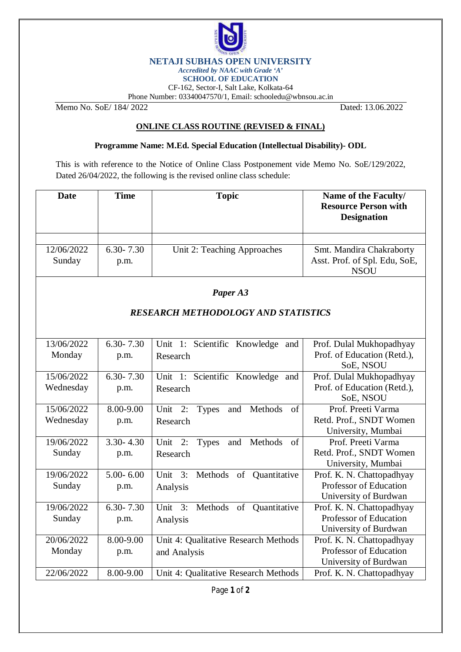

## **NETAJI SUBHAS OPEN UNIVERSITY**

*Accredited by NAAC with Grade 'A'*

**SCHOOL OF EDUCATION**

CF-162, Sector-I, Salt Lake, Kolkata-64 Phone Number: 03340047570/1, Email: [schooledu@wbnsou.ac.in](mailto:schooledu@wbnsou.ac.in)

Memo No. SoE/ 184/ 2022 Dated: 13.06.2022

University of Burdwan

## **ONLINE CLASS ROUTINE (REVISED & FINAL)**

## **Programme Name: M.Ed. Special Education (Intellectual Disability)- ODL**

This is with reference to the Notice of Online Class Postponement vide Memo No. SoE/129/2022, Dated 26/04/2022, the following is the revised online class schedule:

| <b>Date</b>                                | <b>Time</b>           | <b>Topic</b>                                             | Name of the Faculty/<br><b>Resource Person with</b><br><b>Designation</b>    |  |
|--------------------------------------------|-----------------------|----------------------------------------------------------|------------------------------------------------------------------------------|--|
| 12/06/2022<br>Sunday                       | $6.30 - 7.30$<br>p.m. | Unit 2: Teaching Approaches                              | Smt. Mandira Chakraborty<br>Asst. Prof. of Spl. Edu, SoE,<br><b>NSOU</b>     |  |
| Paper A3                                   |                       |                                                          |                                                                              |  |
| <b>RESEARCH METHODOLOGY AND STATISTICS</b> |                       |                                                          |                                                                              |  |
| 13/06/2022<br>Monday                       | $6.30 - 7.30$<br>p.m. | Unit 1: Scientific Knowledge and<br>Research             | Prof. Dulal Mukhopadhyay<br>Prof. of Education (Retd.),<br>SoE, NSOU         |  |
| 15/06/2022<br>Wednesday                    | $6.30 - 7.30$<br>p.m. | Unit 1: Scientific Knowledge and<br>Research             | Prof. Dulal Mukhopadhyay<br>Prof. of Education (Retd.),<br>SoE, NSOU         |  |
| 15/06/2022<br>Wednesday                    | 8.00-9.00<br>p.m.     | Unit 2:<br>and Methods<br>of<br><b>Types</b><br>Research | Prof. Preeti Varma<br>Retd. Prof., SNDT Women<br>University, Mumbai          |  |
| 19/06/2022<br>Sunday                       | $3.30 - 4.30$<br>p.m. | Unit 2:<br>and Methods<br><b>Types</b><br>of<br>Research | Prof. Preeti Varma<br>Retd. Prof., SNDT Women<br>University, Mumbai          |  |
| 19/06/2022<br>Sunday                       | $5.00 - 6.00$<br>p.m. | Unit<br>3:<br>Methods<br>Quantitative<br>of<br>Analysis  | Prof. K. N. Chattopadhyay<br>Professor of Education<br>University of Burdwan |  |
| 19/06/2022<br>Sunday                       | $6.30 - 7.30$<br>p.m. | Unit 3:<br>Methods<br>of Quantitative<br>Analysis        | Prof. K. N. Chattopadhyay<br>Professor of Education<br>University of Burdwan |  |
| 20/06/2022<br>Monday                       | 8.00-9.00<br>p.m.     | Unit 4: Qualitative Research Methods<br>and Analysis     | Prof. K. N. Chattopadhyay<br>Professor of Education                          |  |

22/06/2022 8.00-9.00 Unit 4: Qualitative Research Methods Prof. K. N. Chattopadhyay